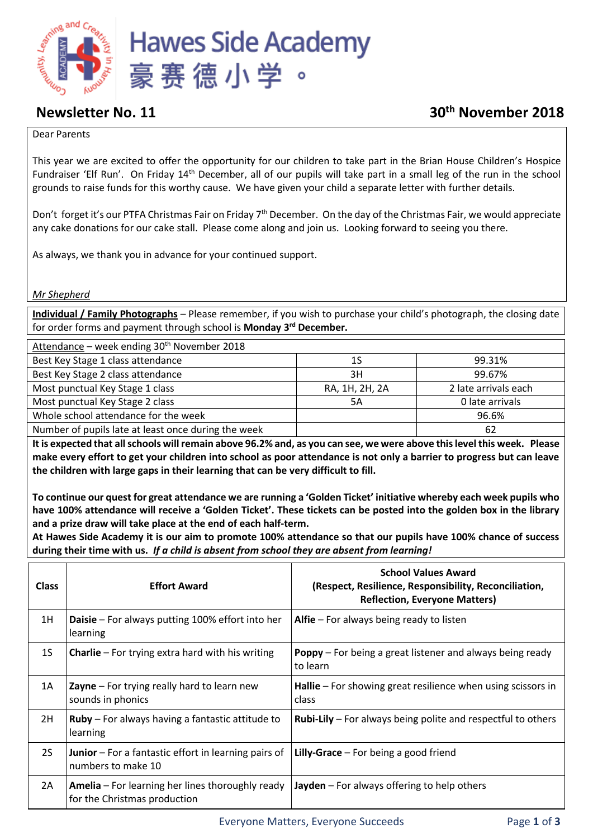

# **Newsletter No. 11 30th November 2018**

### Dear Parents

This year we are excited to offer the opportunity for our children to take part in the Brian House Children's Hospice Fundraiser 'Elf Run'. On Friday 14<sup>th</sup> December, all of our pupils will take part in a small leg of the run in the school grounds to raise funds for this worthy cause. We have given your child a separate letter with further details.

Don't forget it's our PTFA Christmas Fair on Friday 7<sup>th</sup> December. On the day of the Christmas Fair, we would appreciate any cake donations for our cake stall. Please come along and join us. Looking forward to seeing you there.

As always, we thank you in advance for your continued support.

*Mr Shepherd*

**Individual / Family Photographs** – Please remember, if you wish to purchase your child's photograph, the closing date for order forms and payment through school is **Monday 3rd December.**

| Attendance – week ending 30 <sup>th</sup> November 2018 |                |                      |  |  |
|---------------------------------------------------------|----------------|----------------------|--|--|
| Best Key Stage 1 class attendance                       | 1S             | 99.31%               |  |  |
| Best Key Stage 2 class attendance                       | 3H             | 99.67%               |  |  |
| Most punctual Key Stage 1 class                         | RA, 1H, 2H, 2A | 2 late arrivals each |  |  |
| Most punctual Key Stage 2 class                         | 5A             | 0 late arrivals      |  |  |
| Whole school attendance for the week                    |                | 96.6%                |  |  |
| Number of pupils late at least once during the week     |                | 62                   |  |  |

**It is expected that all schools will remain above 96.2% and, as you can see, we were above this level this week. Please make every effort to get your children into school as poor attendance is not only a barrier to progress but can leave the children with large gaps in their learning that can be very difficult to fill.** 

**To continue our quest for great attendance we are running a 'Golden Ticket' initiative whereby each week pupils who have 100% attendance will receive a 'Golden Ticket'. These tickets can be posted into the golden box in the library and a prize draw will take place at the end of each half-term.** 

**At Hawes Side Academy it is our aim to promote 100% attendance so that our pupils have 100% chance of success during their time with us.** *If a child is absent from school they are absent from learning!*

| <b>Class</b>   | <b>Effort Award</b>                                                               | <b>School Values Award</b><br>(Respect, Resilience, Responsibility, Reconciliation,<br><b>Reflection, Everyone Matters)</b> |  |
|----------------|-----------------------------------------------------------------------------------|-----------------------------------------------------------------------------------------------------------------------------|--|
| 1H             | <b>Daisie</b> – For always putting 100% effort into her<br>learning               | Alfie $-$ For always being ready to listen                                                                                  |  |
| 1 <sub>S</sub> | <b>Charlie</b> $-$ For trying extra hard with his writing                         | <b>Poppy</b> – For being a great listener and always being ready<br>to learn                                                |  |
| 1A             | <b>Zayne</b> – For trying really hard to learn new<br>sounds in phonics           | <b>Hallie</b> $-$ For showing great resilience when using scissors in<br>class                                              |  |
| 2H             | <b>Ruby</b> – For always having a fantastic attitude to<br>learning               | <b>Rubi-Lily</b> – For always being polite and respectful to others                                                         |  |
| <b>2S</b>      | <b>Junior</b> – For a fantastic effort in learning pairs of<br>numbers to make 10 | <b>Lilly-Grace</b> $-$ For being a good friend                                                                              |  |
| 2A             | Amelia - For learning her lines thoroughly ready<br>for the Christmas production  | <b>Jayden</b> $-$ For always offering to help others                                                                        |  |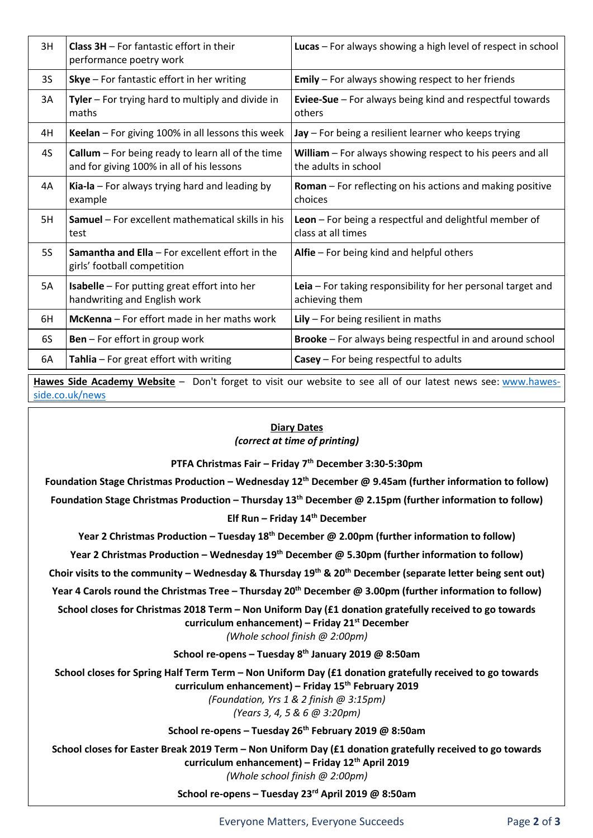| 3H        | <b>Class <math>3H</math></b> – For fantastic effort in their<br>performance poetry work                 | Lucas - For always showing a high level of respect in school                      |  |
|-----------|---------------------------------------------------------------------------------------------------------|-----------------------------------------------------------------------------------|--|
| 3S        | <b>Skye</b> $-$ For fantastic effort in her writing                                                     | <b>Emily</b> $-$ For always showing respect to her friends                        |  |
| 3A        | Tyler - For trying hard to multiply and divide in<br>maths                                              | <b>Eviee-Sue</b> $-$ For always being kind and respectful towards<br>others       |  |
| 4H        | Keelan - For giving 100% in all lessons this week                                                       | $\textsf{Jay}$ – For being a resilient learner who keeps trying                   |  |
| 4S        | <b>Callum</b> $-$ For being ready to learn all of the time<br>and for giving 100% in all of his lessons | William - For always showing respect to his peers and all<br>the adults in school |  |
| 4A        | Kia-la - For always trying hard and leading by<br>example                                               | <b>Roman</b> – For reflecting on his actions and making positive<br>choices       |  |
| 5H        | <b>Samuel</b> – For excellent mathematical skills in his<br>test                                        | Leon - For being a respectful and delightful member of<br>class at all times      |  |
| <b>5S</b> | Samantha and Ella - For excellent effort in the<br>girls' football competition                          | Alfie - For being kind and helpful others                                         |  |
| 5A        | <b>Isabelle</b> – For putting great effort into her<br>handwriting and English work                     | Leia - For taking responsibility for her personal target and<br>achieving them    |  |
| 6H        | McKenna - For effort made in her maths work                                                             | $Lily$ – For being resilient in maths                                             |  |
| 6S        | <b>Ben</b> – For effort in group work                                                                   | <b>Brooke</b> – For always being respectful in and around school                  |  |
| 6A        | Tahlia - For great effort with writing                                                                  | $Casey - For being respectively$ to be a controlled to a dults                    |  |

**Hawes Side Academy Website** – Don't forget to visit our website to see all of our latest news see: [www.hawes](http://www.hawes-side.co.uk/news)[side.co.uk/news](http://www.hawes-side.co.uk/news)

# **Diary Dates**

*(correct at time of printing)*

**PTFA Christmas Fair – Friday 7th December 3:30-5:30pm**

**Foundation Stage Christmas Production – Wednesday 12th December @ 9.45am (further information to follow) Foundation Stage Christmas Production – Thursday 13th December @ 2.15pm (further information to follow) Elf Run – Friday 14th December**

**Year 2 Christmas Production – Tuesday 18th December @ 2.00pm (further information to follow)**

**Year 2 Christmas Production – Wednesday 19th December @ 5.30pm (further information to follow)**

**Choir visits to the community – Wednesday & Thursday 19th & 20th December (separate letter being sent out)**

**Year 4 Carols round the Christmas Tree – Thursday 20th December @ 3.00pm (further information to follow)**

**School closes for Christmas 2018 Term – Non Uniform Day (£1 donation gratefully received to go towards curriculum enhancement) – Friday 21st December**

*(Whole school finish @ 2:00pm)*

**School re-opens – Tuesday 8th January 2019 @ 8:50am**

**School closes for Spring Half Term Term – Non Uniform Day (£1 donation gratefully received to go towards curriculum enhancement) – Friday 15th February 2019**

*(Foundation, Yrs 1 & 2 finish @ 3:15pm)*

*(Years 3, 4, 5 & 6 @ 3:20pm)*

**School re-opens – Tuesday 26th February 2019 @ 8:50am**

**School closes for Easter Break 2019 Term – Non Uniform Day (£1 donation gratefully received to go towards curriculum enhancement) – Friday 12th April 2019** *(Whole school finish @ 2:00pm)*

**School re-opens – Tuesday 23rd April 2019 @ 8:50am**

Everyone Matters, Everyone Succeeds Page **2** of **3**